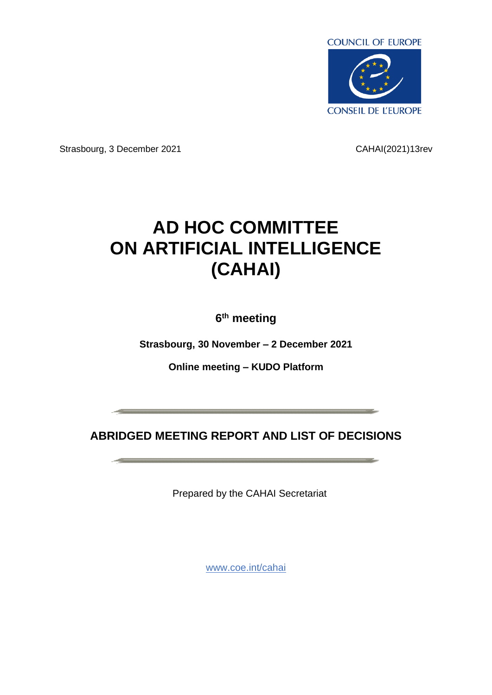

Strasbourg, 3 December 2021 CAHAI(2021)13rev

# **AD HOC COMMITTEE ON ARTIFICIAL INTELLIGENCE (CAHAI)**

**6 th meeting**

**Strasbourg, 30 November – 2 December 2021**

**Online meeting – KUDO Platform**

**ABRIDGED MEETING REPORT AND LIST OF DECISIONS**

and the contract of the contract of the contract of the contract of the contract of the contract of the contract of the contract of the contract of the contract of the contract of the contract of the contract of the contra

Prepared by the CAHAI Secretariat

[www.coe.int/cahai](http://www.coe.int/cahai)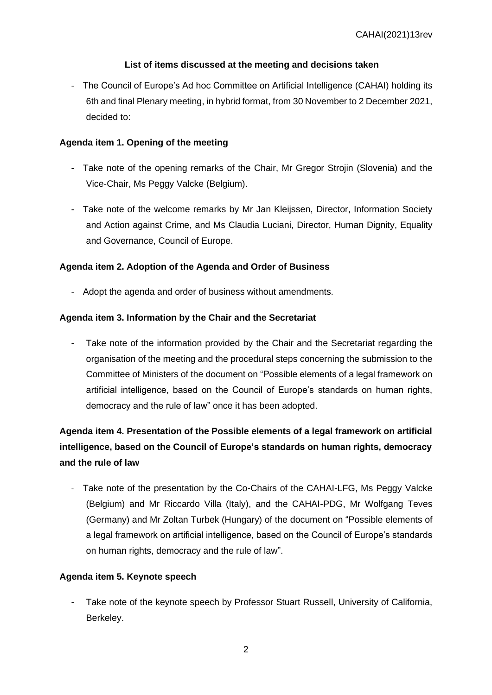## **List of items discussed at the meeting and decisions taken**

- The Council of Europe's Ad hoc Committee on Artificial Intelligence (CAHAI) holding its 6th and final Plenary meeting, in hybrid format, from 30 November to 2 December 2021, decided to:

## **Agenda item 1. Opening of the meeting**

- Take note of the opening remarks of the Chair, Mr Gregor Strojin (Slovenia) and the Vice-Chair, Ms Peggy Valcke (Belgium).
- Take note of the welcome remarks by Mr Jan Kleijssen, Director, Information Society and Action against Crime, and Ms Claudia Luciani, Director, Human Dignity, Equality and Governance, Council of Europe.

## **Agenda item 2. Adoption of the Agenda and Order of Business**

- Adopt the agenda and order of business without amendments.

## **Agenda item 3. Information by the Chair and the Secretariat**

Take note of the information provided by the Chair and the Secretariat regarding the organisation of the meeting and the procedural steps concerning the submission to the Committee of Ministers of the document on "Possible elements of a legal framework on artificial intelligence, based on the Council of Europe's standards on human rights, democracy and the rule of law" once it has been adopted.

## **Agenda item 4. Presentation of the Possible elements of a legal framework on artificial intelligence, based on the Council of Europe's standards on human rights, democracy and the rule of law**

- Take note of the presentation by the Co-Chairs of the CAHAI-LFG, Ms Peggy Valcke (Belgium) and Mr Riccardo Villa (Italy), and the CAHAI-PDG, Mr Wolfgang Teves (Germany) and Mr Zoltan Turbek (Hungary) of the document on "Possible elements of a legal framework on artificial intelligence, based on the Council of Europe's standards on human rights, democracy and the rule of law".

## **Agenda item 5. Keynote speech**

Take note of the keynote speech by Professor Stuart Russell, University of California, Berkeley.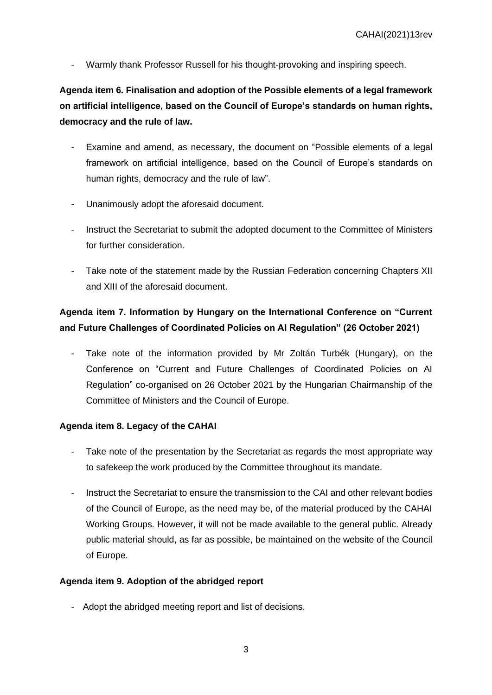Warmly thank Professor Russell for his thought-provoking and inspiring speech.

**Agenda item 6. Finalisation and adoption of the Possible elements of a legal framework on artificial intelligence, based on the Council of Europe's standards on human rights, democracy and the rule of law.**

- Examine and amend, as necessary, the document on "Possible elements of a legal framework on artificial intelligence, based on the Council of Europe's standards on human rights, democracy and the rule of law".
- Unanimously adopt the aforesaid document.
- Instruct the Secretariat to submit the adopted document to the Committee of Ministers for further consideration.
- Take note of the statement made by the Russian Federation concerning Chapters XII and XIII of the aforesaid document.

## **Agenda item 7. Information by Hungary on the International Conference on "Current and Future Challenges of Coordinated Policies on AI Regulation" (26 October 2021)**

Take note of the information provided by Mr Zoltán Turbék (Hungary), on the Conference on "Current and Future Challenges of Coordinated Policies on AI Regulation" co-organised on 26 October 2021 by the Hungarian Chairmanship of the Committee of Ministers and the Council of Europe.

#### **Agenda item 8. Legacy of the CAHAI**

- Take note of the presentation by the Secretariat as regards the most appropriate way to safekeep the work produced by the Committee throughout its mandate.
- Instruct the Secretariat to ensure the transmission to the CAI and other relevant bodies of the Council of Europe, as the need may be, of the material produced by the CAHAI Working Groups. However, it will not be made available to the general public. Already public material should, as far as possible, be maintained on the website of the Council of Europe.

#### **Agenda item 9. Adoption of the abridged report**

- Adopt the abridged meeting report and list of decisions.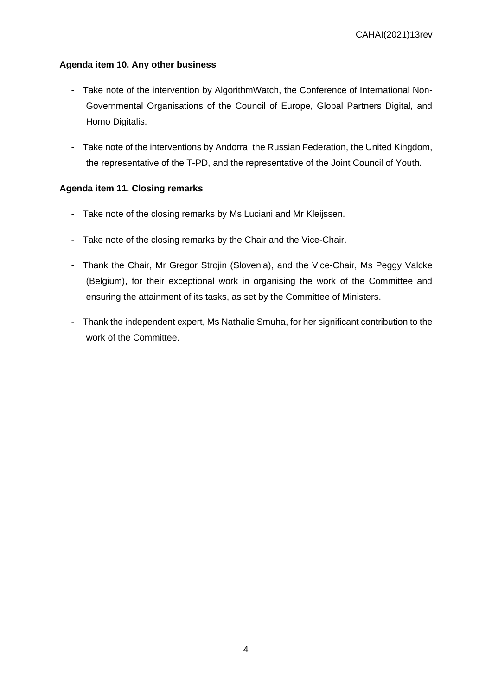## **Agenda item 10. Any other business**

- Take note of the intervention by AlgorithmWatch, the Conference of International Non-Governmental Organisations of the Council of Europe, Global Partners Digital, and Homo Digitalis.
- Take note of the interventions by Andorra, the Russian Federation, the United Kingdom, the representative of the T-PD, and the representative of the Joint Council of Youth.

## **Agenda item 11. Closing remarks**

- Take note of the closing remarks by Ms Luciani and Mr Kleijssen.
- Take note of the closing remarks by the Chair and the Vice-Chair.
- Thank the Chair, Mr Gregor Strojin (Slovenia), and the Vice-Chair, Ms Peggy Valcke (Belgium), for their exceptional work in organising the work of the Committee and ensuring the attainment of its tasks, as set by the Committee of Ministers.
- Thank the independent expert, Ms Nathalie Smuha, for her significant contribution to the work of the Committee.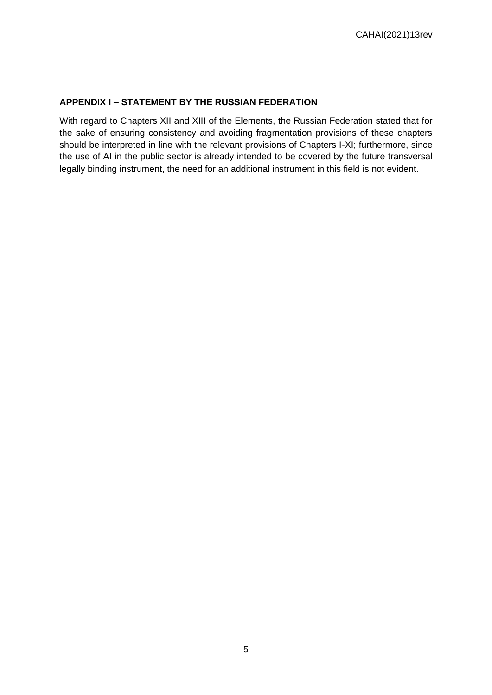## **APPENDIX I – STATEMENT BY THE RUSSIAN FEDERATION**

With regard to Chapters XII and XIII of the Elements, the Russian Federation stated that for the sake of ensuring consistency and avoiding fragmentation provisions of these chapters should be interpreted in line with the relevant provisions of Chapters I-XI; furthermore, since the use of AI in the public sector is already intended to be covered by the future transversal legally binding instrument, the need for an additional instrument in this field is not evident.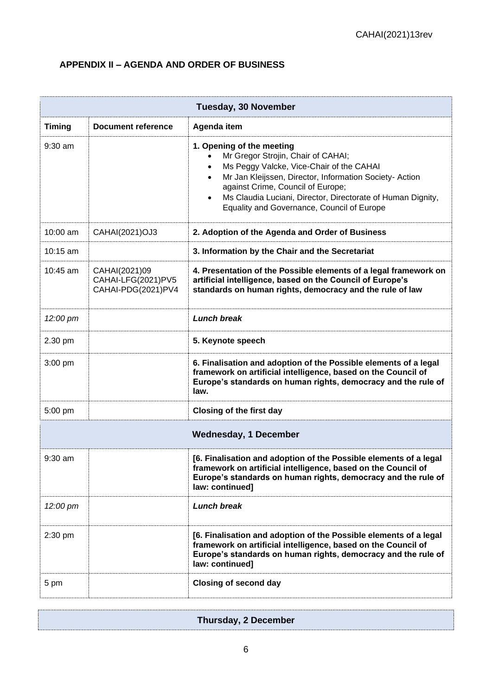## **APPENDIX II – AGENDA AND ORDER OF BUSINESS**

| <b>Tuesday, 30 November</b>  |                                                           |                                                                                                                                                                                                                                                                                                                                                         |  |
|------------------------------|-----------------------------------------------------------|---------------------------------------------------------------------------------------------------------------------------------------------------------------------------------------------------------------------------------------------------------------------------------------------------------------------------------------------------------|--|
| <b>Timing</b>                | <b>Document reference</b>                                 | Agenda item                                                                                                                                                                                                                                                                                                                                             |  |
| $9:30$ am                    |                                                           | 1. Opening of the meeting<br>Mr Gregor Strojin, Chair of CAHAI;<br>Ms Peggy Valcke, Vice-Chair of the CAHAI<br>$\bullet$<br>Mr Jan Kleijssen, Director, Information Society- Action<br>٠<br>against Crime, Council of Europe;<br>Ms Claudia Luciani, Director, Directorate of Human Dignity,<br>$\bullet$<br>Equality and Governance, Council of Europe |  |
| 10:00 am                     | CAHAI(2021)OJ3                                            | 2. Adoption of the Agenda and Order of Business                                                                                                                                                                                                                                                                                                         |  |
| 10:15 am                     |                                                           | 3. Information by the Chair and the Secretariat                                                                                                                                                                                                                                                                                                         |  |
| $10:45$ am                   | CAHAI(2021)09<br>CAHAI-LFG(2021)PV5<br>CAHAI-PDG(2021)PV4 | 4. Presentation of the Possible elements of a legal framework on<br>artificial intelligence, based on the Council of Europe's<br>standards on human rights, democracy and the rule of law                                                                                                                                                               |  |
| 12:00 pm                     |                                                           | <b>Lunch break</b>                                                                                                                                                                                                                                                                                                                                      |  |
| 2.30 pm                      |                                                           | 5. Keynote speech                                                                                                                                                                                                                                                                                                                                       |  |
| $3:00$ pm                    |                                                           | 6. Finalisation and adoption of the Possible elements of a legal<br>framework on artificial intelligence, based on the Council of<br>Europe's standards on human rights, democracy and the rule of<br>law.                                                                                                                                              |  |
| 5:00 pm                      |                                                           | <b>Closing of the first day</b>                                                                                                                                                                                                                                                                                                                         |  |
| <b>Wednesday, 1 December</b> |                                                           |                                                                                                                                                                                                                                                                                                                                                         |  |
| $9:30$ am                    |                                                           | [6. Finalisation and adoption of the Possible elements of a legal<br>framework on artificial intelligence, based on the Council of<br>Europe's standards on human rights, democracy and the rule of<br>law: continued]                                                                                                                                  |  |
| 12:00 pm                     |                                                           | <b>Lunch break</b>                                                                                                                                                                                                                                                                                                                                      |  |
| $2:30$ pm                    |                                                           | [6. Finalisation and adoption of the Possible elements of a legal<br>framework on artificial intelligence, based on the Council of<br>Europe's standards on human rights, democracy and the rule of<br>law: continued]                                                                                                                                  |  |
| 5 pm                         |                                                           | <b>Closing of second day</b>                                                                                                                                                                                                                                                                                                                            |  |